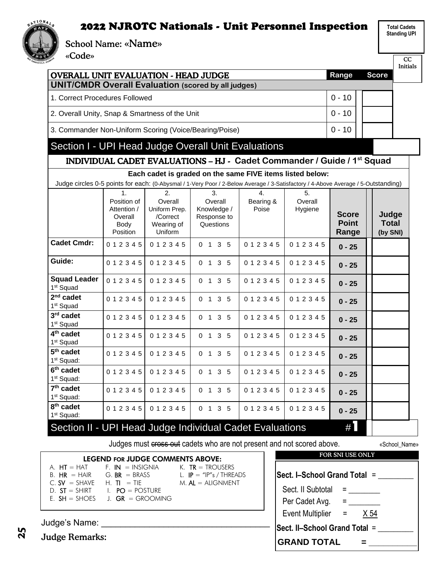**Total Cadets Standing UPI**

School Name: «Name»

«Code»

NATIONAL<sub>S</sub>  $AX$ 

| <b>OVERALL UNIT EVALUATION - HEAD JUDGE</b>                    |                                                                 |                                                                     |                                                                                                                                   |                                        |                               | Range                                 | <b>Score</b>                      |  |
|----------------------------------------------------------------|-----------------------------------------------------------------|---------------------------------------------------------------------|-----------------------------------------------------------------------------------------------------------------------------------|----------------------------------------|-------------------------------|---------------------------------------|-----------------------------------|--|
| <b>UNIT/CMDR Overall Evaluation (scored by all judges)</b>     |                                                                 |                                                                     |                                                                                                                                   |                                        |                               |                                       |                                   |  |
|                                                                | 1. Correct Procedures Followed                                  |                                                                     |                                                                                                                                   |                                        |                               |                                       |                                   |  |
|                                                                | 2. Overall Unity, Snap & Smartness of the Unit                  |                                                                     |                                                                                                                                   |                                        |                               |                                       |                                   |  |
| 3. Commander Non-Uniform Scoring (Voice/Bearing/Poise)         |                                                                 |                                                                     |                                                                                                                                   |                                        |                               | $0 - 10$                              |                                   |  |
| Section I - UPI Head Judge Overall Unit Evaluations            |                                                                 |                                                                     |                                                                                                                                   |                                        |                               |                                       |                                   |  |
|                                                                |                                                                 |                                                                     | INDIVIDUAL CADET EVALUATIONS - HJ - Cadet Commander / Guide / 1st Squad                                                           |                                        |                               |                                       |                                   |  |
|                                                                |                                                                 |                                                                     | Each cadet is graded on the same FIVE items listed below:                                                                         |                                        |                               |                                       |                                   |  |
|                                                                |                                                                 |                                                                     | Judge circles 0-5 points for each: (0-Abysmal / 1-Very Poor / 2-Below Average / 3-Satisfactory / 4-Above Average / 5-Outstanding) |                                        |                               |                                       |                                   |  |
|                                                                | 1.<br>Position of<br>Attention /<br>Overall<br>Body<br>Position | 2.<br>Overall<br>Uniform Prep.<br>/Correct<br>Wearing of<br>Uniform | 3.<br>Overall<br>Knowledge /<br>Response to<br>Questions                                                                          | $\overline{4}$ .<br>Bearing &<br>Poise | 5.<br>Overall<br>Hygiene      | <b>Score</b><br><b>Point</b><br>Range | Judge<br><b>Total</b><br>(by SNI) |  |
| <b>Cadet Cmdr:</b>                                             | 012345                                                          | 012345                                                              | 0 1 3 5                                                                                                                           | 012345                                 | 012345                        | $0 - 25$                              |                                   |  |
| Guide:                                                         | 012345                                                          | 012345                                                              | 0 1 3 5                                                                                                                           | 0 1 2 3 4 5                            | 012345                        | $0 - 25$                              |                                   |  |
| <b>Squad Leader</b><br>1 <sup>st</sup> Squad                   | 012345                                                          | 012345                                                              | 0 1 3 5                                                                                                                           | 012345                                 | 012345                        | $0 - 25$                              |                                   |  |
| $2nd$ cadet<br>1 <sup>st</sup> Squad                           | 012345                                                          | 012345                                                              | 0 1 3 5                                                                                                                           | 012345                                 | 012345                        | $0 - 25$                              |                                   |  |
| $3rd$ cadet<br>1 <sup>st</sup> Squad                           | 012345                                                          | 012345                                                              | $0 \t1 \t3 \t5$                                                                                                                   | 012345                                 | 012345                        | $0 - 25$                              |                                   |  |
| 4 <sup>th</sup> cadet<br>1 <sup>st</sup> Squad                 | 012345                                                          | 012345                                                              | $0 \t1 \t3 \t5$                                                                                                                   | 012345                                 | 012345                        | $0 - 25$                              |                                   |  |
| 5 <sup>th</sup> cadet<br>1 <sup>st</sup> Squad:                | 0 1 2 3 4 5                                                     | 012345                                                              | 0 1 3 5                                                                                                                           | 0 1 2 3 4 5                            | 012345                        | $0 - 25$                              |                                   |  |
| 6 <sup>th</sup> cadet<br>1 <sup>st</sup> Squad:                | 012345                                                          | 012345                                                              | 0 1 3 5                                                                                                                           | 012345                                 | 012345                        | $0 - 25$                              |                                   |  |
| $7th$ cadet<br>1 <sup>st</sup> Squad:                          | 012345                                                          | 012345                                                              | 0 1 3 5                                                                                                                           | 012345                                 | 012345                        | $0 - 25$                              |                                   |  |
| 8 <sup>th</sup> cadet<br>1 <sup>st</sup> Squad:                | 012345                                                          | 012345                                                              | 0 1 3 5                                                                                                                           | 012345                                 | 012345                        | $0 - 25$                              |                                   |  |
| Section II - UPI Head Judge Individual Cadet Evaluations       |                                                                 |                                                                     |                                                                                                                                   |                                        |                               | $\#$                                  |                                   |  |
|                                                                |                                                                 |                                                                     | Judges must cross out cadets who are not present and not scored above.                                                            |                                        |                               |                                       | «School_Name»                     |  |
|                                                                |                                                                 | <b>LEGEND FOR JUDGE COMMENTS ABOVE:</b>                             |                                                                                                                                   |                                        |                               | FOR SNI USE ONLY                      |                                   |  |
| $A. HT = HAT$<br>$B. HR = HAIR$<br>$C.$ SV = SHAVE H. TI = TIE | $F.$ IN $=$ INSIGNIA<br>$G. BR = BRASS$                         |                                                                     | K. $TR = TROUSERS$<br>L. $IP = "IP"s / THEADS$<br>$M.$ AL $=$ ALIGNMENT                                                           |                                        | Sect. I–School Grand Total =  |                                       |                                   |  |
| D. $ST = SHIRT$ $I. PO = POSTURE$                              |                                                                 |                                                                     |                                                                                                                                   |                                        | Sect. II Subtotal             |                                       | <b>Experience</b>                 |  |
| E. $SH = SHOES$ J. GR = GROOMING                               |                                                                 |                                                                     |                                                                                                                                   |                                        | Per Cadet Avg.                |                                       | <b>E</b> and the state            |  |
|                                                                |                                                                 |                                                                     |                                                                                                                                   |                                        | <b>Event Multiplier</b>       | $\equiv$                              | $\times 54$                       |  |
| Judge's Name:                                                  |                                                                 |                                                                     |                                                                                                                                   |                                        | Sect. II-School Grand Total = |                                       |                                   |  |
| <b>Judge Remarks:</b>                                          |                                                                 |                                                                     |                                                                                                                                   |                                        | <b>GRAND TOTAL</b>            |                                       |                                   |  |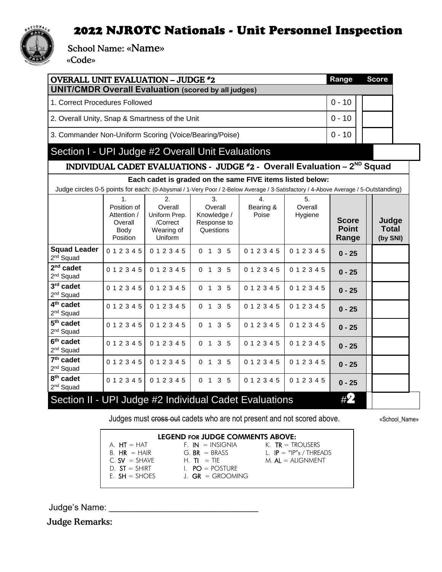

School Name: «Name»

«Code»

| <b>OVERALL UNIT EVALUATION - JUDGE #2</b>                                                                                         |  |  |               |  |   |          | <b>Score</b> |  |
|-----------------------------------------------------------------------------------------------------------------------------------|--|--|---------------|--|---|----------|--------------|--|
| <b>UNIT/CMDR Overall Evaluation (scored by all judges)</b>                                                                        |  |  |               |  |   |          |              |  |
| 1. Correct Procedures Followed                                                                                                    |  |  |               |  |   | $0 - 10$ |              |  |
| 2. Overall Unity, Snap & Smartness of the Unit                                                                                    |  |  |               |  |   |          |              |  |
| 3. Commander Non-Uniform Scoring (Voice/Bearing/Poise)                                                                            |  |  |               |  |   | $0 - 10$ |              |  |
| Section I - UPI Judge #2 Overall Unit Evaluations                                                                                 |  |  |               |  |   |          |              |  |
| INDIVIDUAL CADET EVALUATIONS - JUDGE #2 - Overall Evaluation - 2 <sup>ND</sup> Squad                                              |  |  |               |  |   |          |              |  |
| Each cadet is graded on the same FIVE items listed below:                                                                         |  |  |               |  |   |          |              |  |
| Judge circles 0-5 points for each: (0-Abysmal / 1-Very Poor / 2-Below Average / 3-Satisfactory / 4-Above Average / 5-Outstanding) |  |  |               |  |   |          |              |  |
|                                                                                                                                   |  |  | $\mathcal{B}$ |  | 5 |          |              |  |

|                                                        | 1.<br>Position of<br>Attention /<br>Overall<br>Body<br>Position | 2.<br>Overall<br>Uniform Prep.<br>/Correct<br>Wearing of<br>Uniform | 3.<br>Overall<br>Knowledge /<br>Response to<br>Questions | 4.<br>Bearing &<br>Poise | 5.<br>Overall<br>Hygiene | <b>Score</b><br><b>Point</b><br>Range | Judge<br>Total<br>(by SNI) |
|--------------------------------------------------------|-----------------------------------------------------------------|---------------------------------------------------------------------|----------------------------------------------------------|--------------------------|--------------------------|---------------------------------------|----------------------------|
| <b>Squad Leader</b><br>2 <sup>nd</sup> Squad           | 012345                                                          | 012345                                                              | $3\quad 5$<br>0 <sub>1</sub>                             | 012345                   | 0 1 2 3 4 5              | $0 - 25$                              |                            |
| $2nd$ cadet<br>$2nd$ Squad                             | 012345                                                          | 012345                                                              | 3 <sub>5</sub><br>$\overline{0}$<br>$\mathbf{1}$         | 012345                   | 012345                   | $0 - 25$                              |                            |
| $3rd$ cadet<br>2 <sup>nd</sup> Squad                   | 012345                                                          | 012345                                                              | 3<br>$\Omega$<br>$\mathbf 1$<br>-5                       | 012345                   | 012345                   | $0 - 25$                              |                            |
| 4 <sup>th</sup> cadet<br>$2nd$ Squad                   | 012345                                                          | 012345                                                              | 3 <sub>5</sub><br>0 <sub>1</sub>                         | 012345                   | 012345                   | $0 - 25$                              |                            |
| 5 <sup>th</sup> cadet<br>$2nd$ Squad                   | 012345                                                          | 012345                                                              | 3 <sub>5</sub><br>0 <sub>1</sub>                         | 012345                   | 012345                   | $0 - 25$                              |                            |
| 6 <sup>th</sup> cadet<br>2 <sup>nd</sup> Squad         | 012345                                                          | 012345                                                              | 0 <sub>1</sub><br>$3\quad 5$                             | 012345                   | 012345                   | $0 - 25$                              |                            |
| 7 <sup>th</sup> cadet<br>$2nd$ Squad                   | 012345                                                          | 012345                                                              | 0 <sub>1</sub><br>$3\quad 5$                             | 012345                   | 012345                   | $0 - 25$                              |                            |
| 8 <sup>th</sup> cadet<br>$2nd$ Squad                   | 012345                                                          | 012345                                                              | 0 <sub>1</sub><br>3 <sub>5</sub>                         | 012345                   | 012345                   | $0 - 25$                              |                            |
| Section II - UPI Judge #2 Individual Cadet Evaluations |                                                                 |                                                                     |                                                          |                          |                          | #2                                    |                            |

Judges must cross out cadets who are not present and not scored above. «School\_Name»

 $M.$   $AL = ALIGNMENT$ 

#### LEGEND FOR JUDGE COMMENTS ABOVE:

- A.  $HT = HAT$ <br>
B.  $HR = HAIR$ <br>  $G. BR = BRASS$ <br>  $L. IP = "IP"s / THRE$ B.  $HR = HAIR$  G.  $BR = BRASS$  L.  $IP = "IP"s / THREADS$ <br>C.  $SV = SHAVE$  H.  $TI = TIE$  M.  $AL = ALIGNMENT$  $D. ST = SHIRT$ <br>  $E. SH = SHOES$ <br>  $J. GR = GROMIP$ 
	-
	-
	- $J.$  GR = GROOMING

Judge's Name: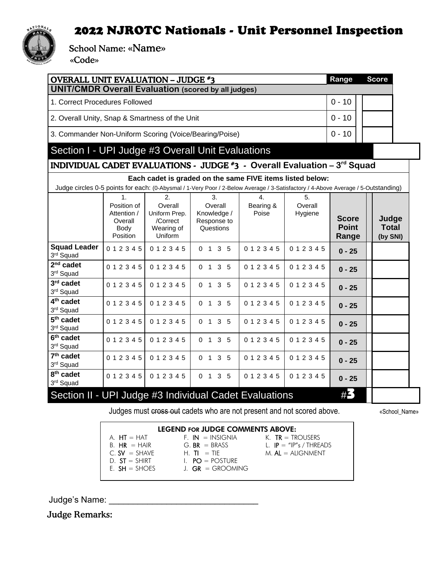

School Name: «Name»

«Code»

| <b>OVERALL UNIT EVALUATION - JUDGE #3</b>                                |                                                                 |                                                                     |                                                                                                                                   |                                        |                          | Range                                 | <b>Score</b>                      |  |
|--------------------------------------------------------------------------|-----------------------------------------------------------------|---------------------------------------------------------------------|-----------------------------------------------------------------------------------------------------------------------------------|----------------------------------------|--------------------------|---------------------------------------|-----------------------------------|--|
| <b>UNIT/CMDR Overall Evaluation (scored by all judges)</b>               |                                                                 |                                                                     |                                                                                                                                   |                                        |                          |                                       |                                   |  |
| 1. Correct Procedures Followed                                           |                                                                 |                                                                     |                                                                                                                                   |                                        |                          |                                       |                                   |  |
| 2. Overall Unity, Snap & Smartness of the Unit                           |                                                                 |                                                                     |                                                                                                                                   |                                        |                          | $0 - 10$                              |                                   |  |
| 3. Commander Non-Uniform Scoring (Voice/Bearing/Poise)                   |                                                                 |                                                                     |                                                                                                                                   |                                        |                          | $0 - 10$                              |                                   |  |
| Section I - UPI Judge #3 Overall Unit Evaluations                        |                                                                 |                                                                     |                                                                                                                                   |                                        |                          |                                       |                                   |  |
| INDIVIDUAL CADET EVALUATIONS - JUDGE #3 - Overall Evaluation - 3rd Squad |                                                                 |                                                                     |                                                                                                                                   |                                        |                          |                                       |                                   |  |
|                                                                          |                                                                 |                                                                     | Each cadet is graded on the same FIVE items listed below:                                                                         |                                        |                          |                                       |                                   |  |
|                                                                          |                                                                 |                                                                     | Judge circles 0-5 points for each: (0-Abysmal / 1-Very Poor / 2-Below Average / 3-Satisfactory / 4-Above Average / 5-Outstanding) |                                        |                          |                                       |                                   |  |
|                                                                          | 1.<br>Position of<br>Attention /<br>Overall<br>Body<br>Position | 2.<br>Overall<br>Uniform Prep.<br>/Correct<br>Wearing of<br>Uniform | 3.<br>Overall<br>Knowledge /<br>Response to<br>Questions                                                                          | $\overline{4}$ .<br>Bearing &<br>Poise | 5.<br>Overall<br>Hygiene | <b>Score</b><br><b>Point</b><br>Range | Judge<br><b>Total</b><br>(by SNI) |  |
| <b>Squad Leader</b><br>3rd Squad                                         | 012345                                                          | 012345                                                              | 3 <sub>5</sub><br>0 <sub>1</sub>                                                                                                  | 012345                                 | 012345                   | $0 - 25$                              |                                   |  |
| $2nd$ cadet<br>3rd Squad                                                 | 012345                                                          | 012345                                                              | 3 <sub>5</sub><br>0 <sub>1</sub>                                                                                                  | 012345                                 | 012345                   | $0 - 25$                              |                                   |  |
| $3rd$ cadet<br>3rd Squad                                                 | 0 1 2 3 4 5                                                     | 012345                                                              | 3 <sub>5</sub><br>0 <sub>1</sub>                                                                                                  | 012345                                 | 012345                   | $0 - 25$                              |                                   |  |
| 4 <sup>th</sup> cadet<br>3rd Squad                                       | 012345                                                          | 012345                                                              | 0 1 3 5                                                                                                                           | 012345                                 | 012345                   | $0 - 25$                              |                                   |  |
| 5 <sup>th</sup> cadet<br>3rd Squad                                       | 012345                                                          | 012345                                                              | 0 1 3 5                                                                                                                           | 012345                                 | 012345                   | $0 - 25$                              |                                   |  |
| 6 <sup>th</sup> cadet<br>3rd Squad                                       | 012345                                                          | 012345                                                              | 0 <sub>1</sub><br>3 <sub>5</sub>                                                                                                  | 012345                                 | 012345                   | $0 - 25$                              |                                   |  |
| 7 <sup>th</sup> cadet<br>3rd Squad                                       | 012345                                                          | 012345                                                              | $0 \t1 \t3 \t5$                                                                                                                   | 012345                                 | 012345                   | $0 - 25$                              |                                   |  |
| 8 <sup>th</sup> cadet<br>3rd Squad                                       | 012345                                                          | 012345                                                              | 0 1 3 5                                                                                                                           | 012345                                 | 012345                   | $0 - 25$                              |                                   |  |
| Section II - UPI Judge #3 Individual Cadet Evaluations                   |                                                                 |                                                                     |                                                                                                                                   |                                        |                          | #3                                    |                                   |  |

Judges must cross out cadets who are not present and not scored above. «School\_Name»

| <b>LEGEND FOR JUDGE COMMENTS ABOVE:</b> |                      |                           |  |  |  |  |  |  |
|-----------------------------------------|----------------------|---------------------------|--|--|--|--|--|--|
| A. $HT = HAT$                           | $F.$ IN $=$ INSIGNIA | K. $TR = TROUSERS$        |  |  |  |  |  |  |
| $B. HR = HAIR$                          | $G.$ BR $=$ BRASS    | L. $IP = "IP"s / THREADS$ |  |  |  |  |  |  |
| $C.$ SV $=$ SHAVE                       | $H$ TI $=$ TIF       | $M.$ AL = ALIGNMENT       |  |  |  |  |  |  |
| $D. ST = SHIRT$                         | $I. PO = POSTURE$    |                           |  |  |  |  |  |  |
| $E. SH = SHOES$                         | $L$ GR = GROOMING    |                           |  |  |  |  |  |  |

Judge's Name: \_\_\_\_\_\_\_\_\_\_\_\_\_\_\_\_\_\_\_\_\_\_\_\_\_\_\_\_\_\_\_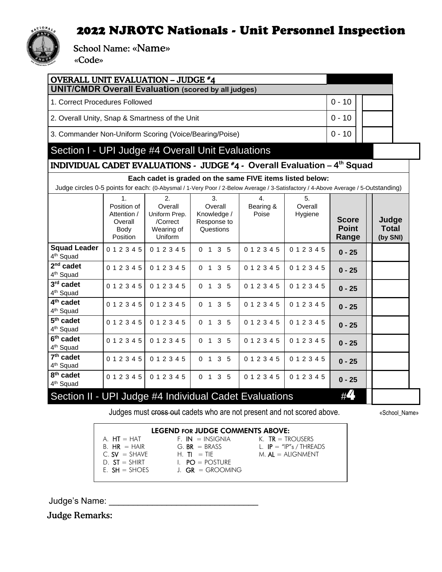

School Name: «Name»

«Code»

| <b>OVERALL UNIT EVALUATION - JUDGE #4</b><br><b>UNIT/CMDR Overall Evaluation (scored by all judges)</b> |          |  |  |  |  |  |  |  |
|---------------------------------------------------------------------------------------------------------|----------|--|--|--|--|--|--|--|
| 1. Correct Procedures Followed                                                                          | $0 - 10$ |  |  |  |  |  |  |  |
| 2. Overall Unity, Snap & Smartness of the Unit                                                          | $0 - 10$ |  |  |  |  |  |  |  |
| 3. Commander Non-Uniform Scoring (Voice/Bearing/Poise)                                                  | $0 - 10$ |  |  |  |  |  |  |  |
| Section I - UPI Judge #4 Overall Unit Evaluations                                                       |          |  |  |  |  |  |  |  |
| INDIVIDUAL CADET EVALUATIONS - JUDGE #4 - Overall Evaluation - 4 <sup>th</sup> Squad                    |          |  |  |  |  |  |  |  |

**Each cadet is graded on the same FIVE items listed below:**

Judge circles 0-5 points for each: (0-Abysmal / 1-Very Poor / 2-Below Average / 3-Satisfactory / 4-Above Average / 5-Outstanding)

|                                                | $\mathbf{1}$ .<br>Position of                     | 2.<br>Overall                                             | 3.<br>Overall                                            | 4.                 | 5.<br>Overall |                                       |                            |
|------------------------------------------------|---------------------------------------------------|-----------------------------------------------------------|----------------------------------------------------------|--------------------|---------------|---------------------------------------|----------------------------|
|                                                | Attention /<br>Overall<br>Body<br><b>Position</b> | Uniform Prep.<br>/Correct<br>Wearing of<br><b>Uniform</b> | Knowledge /<br>Response to<br>Questions                  | Bearing &<br>Poise | Hygiene       | <b>Score</b><br><b>Point</b><br>Range | Judge<br>Total<br>(by SNI) |
| <b>Squad Leader</b><br>4 <sup>th</sup> Squad   | 0 1 2 3 4 5                                       | 012345                                                    | 3 <sub>5</sub><br>$\overline{1}$<br>$\Omega$             | 012345             | 012345        | $0 - 25$                              |                            |
| $2nd$ cadet<br>4 <sup>th</sup> Squad           | 0 1 2 3 4 5                                       | 012345                                                    | 3 <sub>5</sub><br>$\overline{1}$<br>$\mathbf 0$          | 012345             | 012345        | $0 - 25$                              |                            |
| 3rd cadet<br>4 <sup>th</sup> Squad             | 0 1 2 3 4 5                                       | 012345                                                    | 3<br>$\overline{1}$<br>5<br>$\Omega$                     | 012345             | 012345        | $0 - 25$                              |                            |
| 4 <sup>th</sup> cadet<br>4 <sup>th</sup> Squad | 0 1 2 3 4 5                                       | 012345                                                    | 3 <sub>5</sub><br>$\Omega$<br>$\mathbf{1}$               | 012345             | 012345        | $0 - 25$                              |                            |
| 5 <sup>th</sup> cadet<br>4 <sup>th</sup> Squad | 0 1 2 3 4 5                                       | 012345                                                    | 3 <sub>5</sub><br>$\Omega$<br>$\overline{1}$             | 012345             | 012345        | $0 - 25$                              |                            |
| $6th$ cadet<br>4 <sup>th</sup> Squad           | 0 1 2 3 4 5                                       | 012345                                                    | 3<br>$\mathbf{1}$<br>5<br>$\Omega$                       | 012345             | 012345        | $0 - 25$                              |                            |
| 7 <sup>th</sup> cadet<br>4 <sup>th</sup> Squad | 0 1 2 3 4 5                                       | 012345                                                    | 3 <sub>5</sub><br>$\Omega$<br>$\overline{1}$             | 012345             | 012345        | $0 - 25$                              |                            |
| 8 <sup>th</sup> cadet<br>4 <sup>th</sup> Squad | 0 1 2 3 4 5                                       | 012345                                                    | 3 <sub>5</sub><br>$\overline{1}$<br>$\Omega$             | 012345             | 012345        | $0 - 25$                              |                            |
| Cootion II                                     |                                                   |                                                           | <b>IIDI</b> <i>Judge #1 Individual Codet Evaluations</i> |                    |               | #4                                    |                            |

Section II - UPI Judge #4 Individual Cadet Evaluations #

Judges must cross out cadets who are not present and not scored above.  $\blacksquare$  «School\_Name»

#### LEGEND FOR JUDGE COMMENTS ABOVE:

- A.  $HT = HAT$  F. IN = INSIGNIA K. TR = TROUSERS B.  $HR = HAIR$  G.  $BR = BRASS$  L.  $IP = "IP's / THREADS$ <br>C.  $SV = SHAVE$  H.  $TI = TIE$  M.  $AL = ALIGNMENT$  $D. ST = SHIRT$   $I. PO = POSTURE$ <br>  $E. SH = SHOES$   $J. GR = GROMI$ 
	-
	-
- 

 $M.$   $AL = ALIGNMENT$ 

- 
- J.  $GR = GROOMING$

Judge's Name: